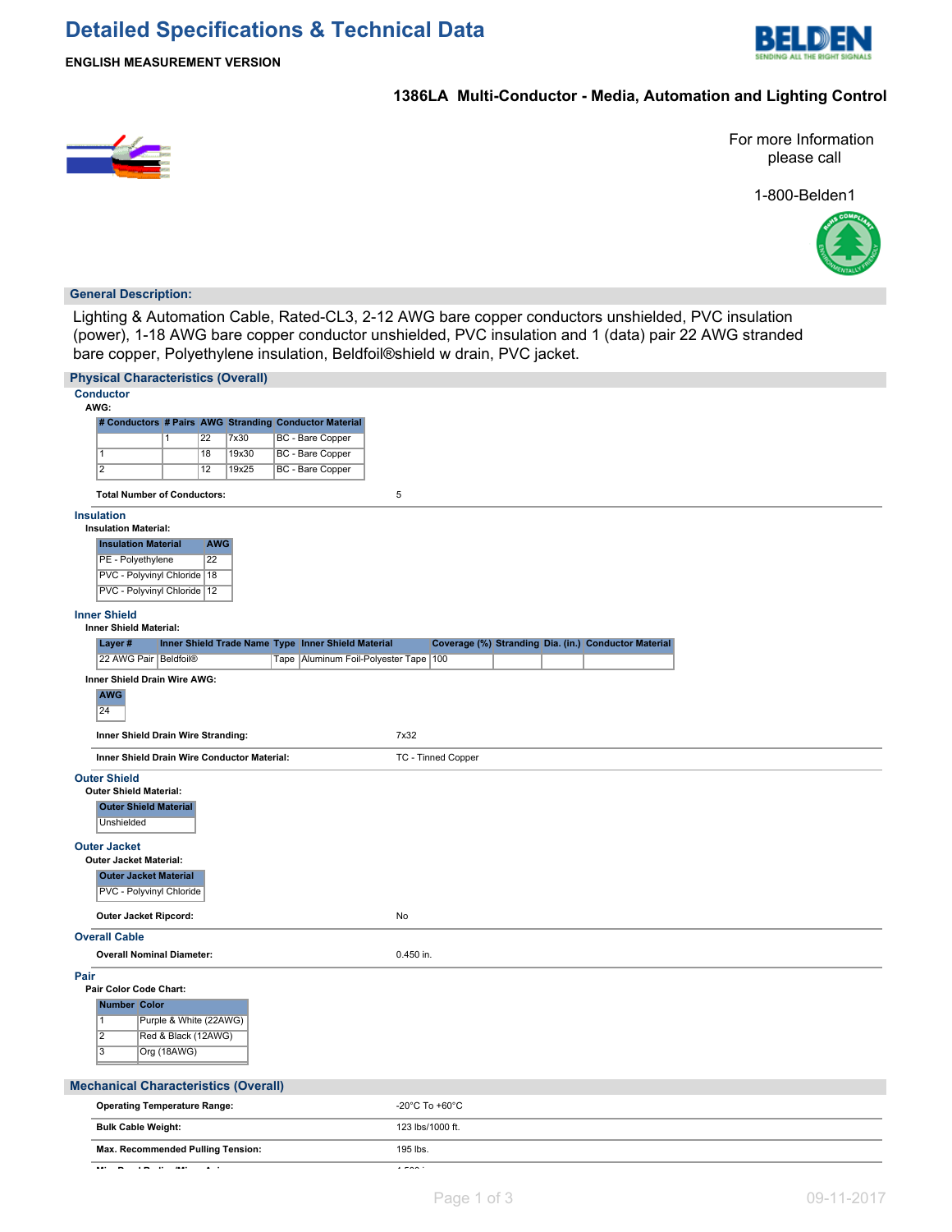

**ENGLISH MEASUREMENT VERSION**

## **1386LA Multi-Conductor - Media, Automation and Lighting Control**



For more Information please call

1-800-Belden1



#### **General Description:**

Lighting & Automation Cable, Rated-CL3, 2-12 AWG bare copper conductors unshielded, PVC insulation (power), 1-18 AWG bare copper conductor unshielded, PVC insulation and 1 (data) pair 22 AWG stranded bare copper, Polyethylene insulation, Beldfoil®shield w drain, PVC jacket.

| <b>Conductor</b><br>AWG:<br># Conductors # Pairs AWG Stranding Conductor Material<br>22<br>7x30<br>BC - Bare Copper<br>1<br><b>BC</b> - Bare Copper<br>$\overline{1}$<br>18<br>19x30<br>$\overline{2}$<br>$\overline{12}$<br><b>BC</b> - Bare Copper<br>19x25<br><b>Total Number of Conductors:</b><br>$\,$ 5 $\,$<br><b>Insulation</b><br><b>Insulation Material:</b><br><b>Insulation Material</b><br><b>AWG</b><br>PE - Polyethylene<br>22<br>PVC - Polyvinyl Chloride   18<br>PVC - Polyvinyl Chloride   12<br><b>Inner Shield</b><br><b>Inner Shield Material:</b><br>Inner Shield Trade Name Type Inner Shield Material<br>Coverage (%) Stranding Dia. (in.) Conductor Material<br>Layer#<br>22 AWG Pair Beldfoil®<br>Tape   Aluminum Foil-Polyester Tape   100<br>Inner Shield Drain Wire AWG:<br><b>AWG</b><br>24<br>Inner Shield Drain Wire Stranding:<br>7x32<br>Inner Shield Drain Wire Conductor Material:<br>TC - Tinned Copper<br><b>Outer Shield</b><br><b>Outer Shield Material:</b><br><b>Outer Shield Material</b><br>Unshielded<br><b>Outer Jacket</b><br><b>Outer Jacket Material:</b><br><b>Outer Jacket Material</b><br>PVC - Polyvinyl Chloride<br>No<br>Outer Jacket Ripcord:<br><b>Overall Cable</b><br><b>Overall Nominal Diameter:</b><br>0.450 in.<br>Pair<br>Pair Color Code Chart:<br><b>Number Color</b><br>Purple & White (22AWG)<br>$\vert$ 1<br>$\overline{2}$<br>Red & Black (12AWG)<br>$\overline{3}$<br>Org (18AWG)<br><b>Operating Temperature Range:</b><br>-20°C To +60°C<br><b>Bulk Cable Weight:</b><br>123 lbs/1000 ft.<br>Max. Recommended Pulling Tension:<br>195 lbs.<br>$\sim$ $\sim$<br>$\overline{\phantom{a}}$<br>$\cdot$ $-$<br>$\ldots$<br>$\sim$ $\sim$ | <b>Physical Characteristics (Overall)</b> |  |  |                              |  |  |  |  |
|--------------------------------------------------------------------------------------------------------------------------------------------------------------------------------------------------------------------------------------------------------------------------------------------------------------------------------------------------------------------------------------------------------------------------------------------------------------------------------------------------------------------------------------------------------------------------------------------------------------------------------------------------------------------------------------------------------------------------------------------------------------------------------------------------------------------------------------------------------------------------------------------------------------------------------------------------------------------------------------------------------------------------------------------------------------------------------------------------------------------------------------------------------------------------------------------------------------------------------------------------------------------------------------------------------------------------------------------------------------------------------------------------------------------------------------------------------------------------------------------------------------------------------------------------------------------------------------------------------------------------------------------------------------------------------------------------------------|-------------------------------------------|--|--|------------------------------|--|--|--|--|
| <b>Mechanical Characteristics (Overall)</b>                                                                                                                                                                                                                                                                                                                                                                                                                                                                                                                                                                                                                                                                                                                                                                                                                                                                                                                                                                                                                                                                                                                                                                                                                                                                                                                                                                                                                                                                                                                                                                                                                                                                  |                                           |  |  |                              |  |  |  |  |
|                                                                                                                                                                                                                                                                                                                                                                                                                                                                                                                                                                                                                                                                                                                                                                                                                                                                                                                                                                                                                                                                                                                                                                                                                                                                                                                                                                                                                                                                                                                                                                                                                                                                                                              |                                           |  |  |                              |  |  |  |  |
|                                                                                                                                                                                                                                                                                                                                                                                                                                                                                                                                                                                                                                                                                                                                                                                                                                                                                                                                                                                                                                                                                                                                                                                                                                                                                                                                                                                                                                                                                                                                                                                                                                                                                                              |                                           |  |  |                              |  |  |  |  |
|                                                                                                                                                                                                                                                                                                                                                                                                                                                                                                                                                                                                                                                                                                                                                                                                                                                                                                                                                                                                                                                                                                                                                                                                                                                                                                                                                                                                                                                                                                                                                                                                                                                                                                              |                                           |  |  |                              |  |  |  |  |
|                                                                                                                                                                                                                                                                                                                                                                                                                                                                                                                                                                                                                                                                                                                                                                                                                                                                                                                                                                                                                                                                                                                                                                                                                                                                                                                                                                                                                                                                                                                                                                                                                                                                                                              |                                           |  |  |                              |  |  |  |  |
|                                                                                                                                                                                                                                                                                                                                                                                                                                                                                                                                                                                                                                                                                                                                                                                                                                                                                                                                                                                                                                                                                                                                                                                                                                                                                                                                                                                                                                                                                                                                                                                                                                                                                                              |                                           |  |  |                              |  |  |  |  |
|                                                                                                                                                                                                                                                                                                                                                                                                                                                                                                                                                                                                                                                                                                                                                                                                                                                                                                                                                                                                                                                                                                                                                                                                                                                                                                                                                                                                                                                                                                                                                                                                                                                                                                              |                                           |  |  |                              |  |  |  |  |
|                                                                                                                                                                                                                                                                                                                                                                                                                                                                                                                                                                                                                                                                                                                                                                                                                                                                                                                                                                                                                                                                                                                                                                                                                                                                                                                                                                                                                                                                                                                                                                                                                                                                                                              |                                           |  |  |                              |  |  |  |  |
|                                                                                                                                                                                                                                                                                                                                                                                                                                                                                                                                                                                                                                                                                                                                                                                                                                                                                                                                                                                                                                                                                                                                                                                                                                                                                                                                                                                                                                                                                                                                                                                                                                                                                                              |                                           |  |  |                              |  |  |  |  |
|                                                                                                                                                                                                                                                                                                                                                                                                                                                                                                                                                                                                                                                                                                                                                                                                                                                                                                                                                                                                                                                                                                                                                                                                                                                                                                                                                                                                                                                                                                                                                                                                                                                                                                              |                                           |  |  |                              |  |  |  |  |
|                                                                                                                                                                                                                                                                                                                                                                                                                                                                                                                                                                                                                                                                                                                                                                                                                                                                                                                                                                                                                                                                                                                                                                                                                                                                                                                                                                                                                                                                                                                                                                                                                                                                                                              |                                           |  |  |                              |  |  |  |  |
|                                                                                                                                                                                                                                                                                                                                                                                                                                                                                                                                                                                                                                                                                                                                                                                                                                                                                                                                                                                                                                                                                                                                                                                                                                                                                                                                                                                                                                                                                                                                                                                                                                                                                                              |                                           |  |  |                              |  |  |  |  |
|                                                                                                                                                                                                                                                                                                                                                                                                                                                                                                                                                                                                                                                                                                                                                                                                                                                                                                                                                                                                                                                                                                                                                                                                                                                                                                                                                                                                                                                                                                                                                                                                                                                                                                              |                                           |  |  |                              |  |  |  |  |
|                                                                                                                                                                                                                                                                                                                                                                                                                                                                                                                                                                                                                                                                                                                                                                                                                                                                                                                                                                                                                                                                                                                                                                                                                                                                                                                                                                                                                                                                                                                                                                                                                                                                                                              |                                           |  |  |                              |  |  |  |  |
|                                                                                                                                                                                                                                                                                                                                                                                                                                                                                                                                                                                                                                                                                                                                                                                                                                                                                                                                                                                                                                                                                                                                                                                                                                                                                                                                                                                                                                                                                                                                                                                                                                                                                                              |                                           |  |  |                              |  |  |  |  |
|                                                                                                                                                                                                                                                                                                                                                                                                                                                                                                                                                                                                                                                                                                                                                                                                                                                                                                                                                                                                                                                                                                                                                                                                                                                                                                                                                                                                                                                                                                                                                                                                                                                                                                              |                                           |  |  |                              |  |  |  |  |
|                                                                                                                                                                                                                                                                                                                                                                                                                                                                                                                                                                                                                                                                                                                                                                                                                                                                                                                                                                                                                                                                                                                                                                                                                                                                                                                                                                                                                                                                                                                                                                                                                                                                                                              |                                           |  |  |                              |  |  |  |  |
|                                                                                                                                                                                                                                                                                                                                                                                                                                                                                                                                                                                                                                                                                                                                                                                                                                                                                                                                                                                                                                                                                                                                                                                                                                                                                                                                                                                                                                                                                                                                                                                                                                                                                                              |                                           |  |  |                              |  |  |  |  |
|                                                                                                                                                                                                                                                                                                                                                                                                                                                                                                                                                                                                                                                                                                                                                                                                                                                                                                                                                                                                                                                                                                                                                                                                                                                                                                                                                                                                                                                                                                                                                                                                                                                                                                              |                                           |  |  |                              |  |  |  |  |
|                                                                                                                                                                                                                                                                                                                                                                                                                                                                                                                                                                                                                                                                                                                                                                                                                                                                                                                                                                                                                                                                                                                                                                                                                                                                                                                                                                                                                                                                                                                                                                                                                                                                                                              |                                           |  |  |                              |  |  |  |  |
|                                                                                                                                                                                                                                                                                                                                                                                                                                                                                                                                                                                                                                                                                                                                                                                                                                                                                                                                                                                                                                                                                                                                                                                                                                                                                                                                                                                                                                                                                                                                                                                                                                                                                                              |                                           |  |  |                              |  |  |  |  |
|                                                                                                                                                                                                                                                                                                                                                                                                                                                                                                                                                                                                                                                                                                                                                                                                                                                                                                                                                                                                                                                                                                                                                                                                                                                                                                                                                                                                                                                                                                                                                                                                                                                                                                              |                                           |  |  |                              |  |  |  |  |
|                                                                                                                                                                                                                                                                                                                                                                                                                                                                                                                                                                                                                                                                                                                                                                                                                                                                                                                                                                                                                                                                                                                                                                                                                                                                                                                                                                                                                                                                                                                                                                                                                                                                                                              |                                           |  |  |                              |  |  |  |  |
|                                                                                                                                                                                                                                                                                                                                                                                                                                                                                                                                                                                                                                                                                                                                                                                                                                                                                                                                                                                                                                                                                                                                                                                                                                                                                                                                                                                                                                                                                                                                                                                                                                                                                                              |                                           |  |  |                              |  |  |  |  |
|                                                                                                                                                                                                                                                                                                                                                                                                                                                                                                                                                                                                                                                                                                                                                                                                                                                                                                                                                                                                                                                                                                                                                                                                                                                                                                                                                                                                                                                                                                                                                                                                                                                                                                              |                                           |  |  |                              |  |  |  |  |
|                                                                                                                                                                                                                                                                                                                                                                                                                                                                                                                                                                                                                                                                                                                                                                                                                                                                                                                                                                                                                                                                                                                                                                                                                                                                                                                                                                                                                                                                                                                                                                                                                                                                                                              |                                           |  |  |                              |  |  |  |  |
|                                                                                                                                                                                                                                                                                                                                                                                                                                                                                                                                                                                                                                                                                                                                                                                                                                                                                                                                                                                                                                                                                                                                                                                                                                                                                                                                                                                                                                                                                                                                                                                                                                                                                                              |                                           |  |  |                              |  |  |  |  |
|                                                                                                                                                                                                                                                                                                                                                                                                                                                                                                                                                                                                                                                                                                                                                                                                                                                                                                                                                                                                                                                                                                                                                                                                                                                                                                                                                                                                                                                                                                                                                                                                                                                                                                              |                                           |  |  |                              |  |  |  |  |
|                                                                                                                                                                                                                                                                                                                                                                                                                                                                                                                                                                                                                                                                                                                                                                                                                                                                                                                                                                                                                                                                                                                                                                                                                                                                                                                                                                                                                                                                                                                                                                                                                                                                                                              |                                           |  |  |                              |  |  |  |  |
|                                                                                                                                                                                                                                                                                                                                                                                                                                                                                                                                                                                                                                                                                                                                                                                                                                                                                                                                                                                                                                                                                                                                                                                                                                                                                                                                                                                                                                                                                                                                                                                                                                                                                                              |                                           |  |  |                              |  |  |  |  |
|                                                                                                                                                                                                                                                                                                                                                                                                                                                                                                                                                                                                                                                                                                                                                                                                                                                                                                                                                                                                                                                                                                                                                                                                                                                                                                                                                                                                                                                                                                                                                                                                                                                                                                              |                                           |  |  |                              |  |  |  |  |
|                                                                                                                                                                                                                                                                                                                                                                                                                                                                                                                                                                                                                                                                                                                                                                                                                                                                                                                                                                                                                                                                                                                                                                                                                                                                                                                                                                                                                                                                                                                                                                                                                                                                                                              |                                           |  |  |                              |  |  |  |  |
|                                                                                                                                                                                                                                                                                                                                                                                                                                                                                                                                                                                                                                                                                                                                                                                                                                                                                                                                                                                                                                                                                                                                                                                                                                                                                                                                                                                                                                                                                                                                                                                                                                                                                                              |                                           |  |  |                              |  |  |  |  |
|                                                                                                                                                                                                                                                                                                                                                                                                                                                                                                                                                                                                                                                                                                                                                                                                                                                                                                                                                                                                                                                                                                                                                                                                                                                                                                                                                                                                                                                                                                                                                                                                                                                                                                              |                                           |  |  |                              |  |  |  |  |
|                                                                                                                                                                                                                                                                                                                                                                                                                                                                                                                                                                                                                                                                                                                                                                                                                                                                                                                                                                                                                                                                                                                                                                                                                                                                                                                                                                                                                                                                                                                                                                                                                                                                                                              |                                           |  |  |                              |  |  |  |  |
|                                                                                                                                                                                                                                                                                                                                                                                                                                                                                                                                                                                                                                                                                                                                                                                                                                                                                                                                                                                                                                                                                                                                                                                                                                                                                                                                                                                                                                                                                                                                                                                                                                                                                                              |                                           |  |  |                              |  |  |  |  |
|                                                                                                                                                                                                                                                                                                                                                                                                                                                                                                                                                                                                                                                                                                                                                                                                                                                                                                                                                                                                                                                                                                                                                                                                                                                                                                                                                                                                                                                                                                                                                                                                                                                                                                              |                                           |  |  |                              |  |  |  |  |
|                                                                                                                                                                                                                                                                                                                                                                                                                                                                                                                                                                                                                                                                                                                                                                                                                                                                                                                                                                                                                                                                                                                                                                                                                                                                                                                                                                                                                                                                                                                                                                                                                                                                                                              |                                           |  |  |                              |  |  |  |  |
|                                                                                                                                                                                                                                                                                                                                                                                                                                                                                                                                                                                                                                                                                                                                                                                                                                                                                                                                                                                                                                                                                                                                                                                                                                                                                                                                                                                                                                                                                                                                                                                                                                                                                                              |                                           |  |  |                              |  |  |  |  |
|                                                                                                                                                                                                                                                                                                                                                                                                                                                                                                                                                                                                                                                                                                                                                                                                                                                                                                                                                                                                                                                                                                                                                                                                                                                                                                                                                                                                                                                                                                                                                                                                                                                                                                              |                                           |  |  | $\sim$ 100 $\sim$ 100 $\sim$ |  |  |  |  |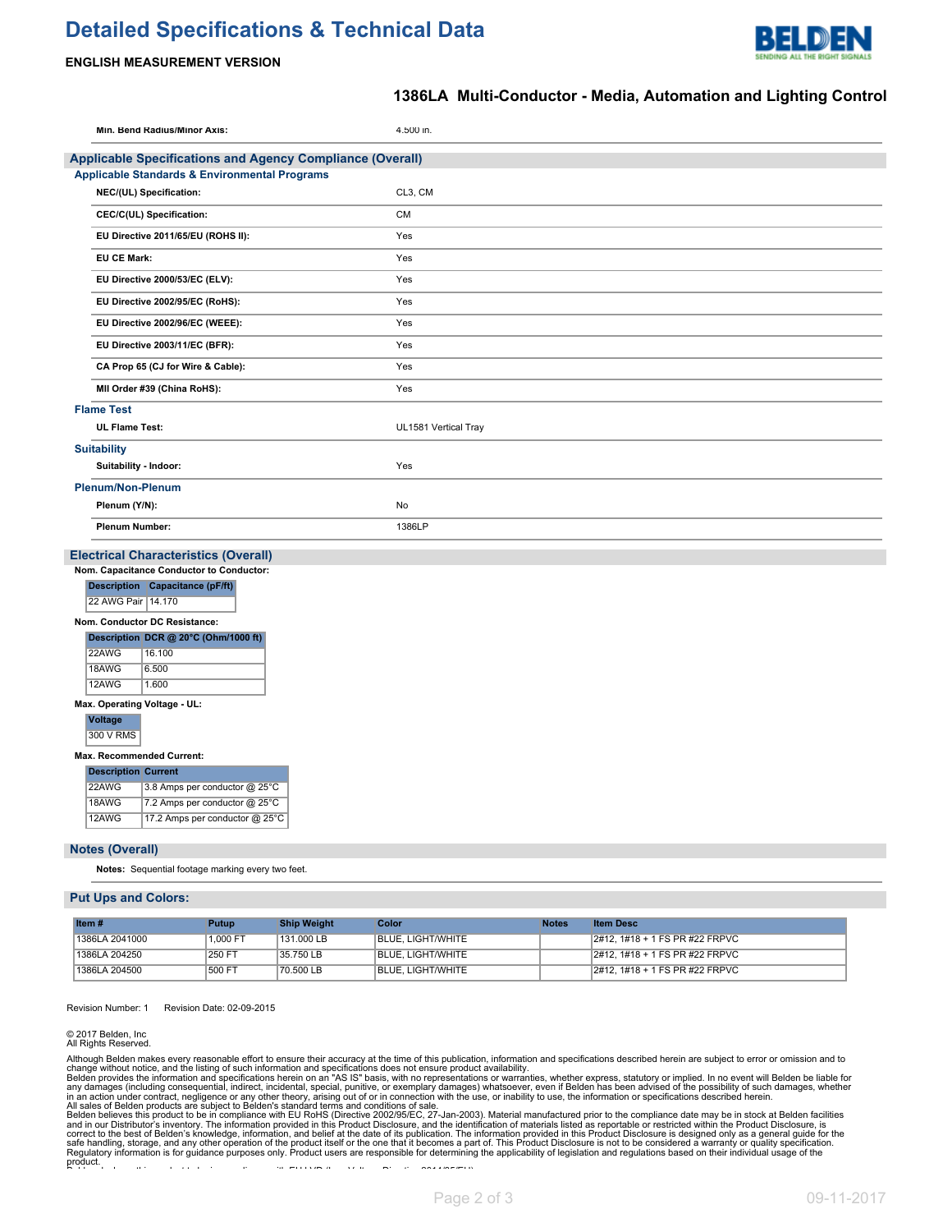# **Detailed Specifications & Technical Data**



#### **ENGLISH MEASUREMENT VERSION**

#### **1386LA Multi-Conductor - Media, Automation and Lighting Control**

| Min. Bend Radius/Minor Axis:                                              | 4.500 in.            |  |  |  |
|---------------------------------------------------------------------------|----------------------|--|--|--|
| <b>Applicable Specifications and Agency Compliance (Overall)</b>          |                      |  |  |  |
| <b>Applicable Standards &amp; Environmental Programs</b>                  |                      |  |  |  |
| NEC/(UL) Specification:                                                   | CL3, CM              |  |  |  |
| CEC/C(UL) Specification:                                                  | <b>CM</b>            |  |  |  |
| EU Directive 2011/65/EU (ROHS II):                                        | Yes                  |  |  |  |
| <b>EU CE Mark:</b>                                                        | Yes                  |  |  |  |
| EU Directive 2000/53/EC (ELV):                                            | Yes                  |  |  |  |
| EU Directive 2002/95/EC (RoHS):                                           | Yes                  |  |  |  |
| EU Directive 2002/96/EC (WEEE):                                           | Yes                  |  |  |  |
| EU Directive 2003/11/EC (BFR):                                            | Yes                  |  |  |  |
| CA Prop 65 (CJ for Wire & Cable):                                         | Yes                  |  |  |  |
| MII Order #39 (China RoHS):                                               | Yes                  |  |  |  |
| <b>Flame Test</b>                                                         |                      |  |  |  |
| <b>UL Flame Test:</b>                                                     | UL1581 Vertical Tray |  |  |  |
| <b>Suitability</b>                                                        |                      |  |  |  |
| Suitability - Indoor:                                                     | Yes                  |  |  |  |
| Plenum/Non-Plenum                                                         |                      |  |  |  |
| Plenum (Y/N):                                                             | No                   |  |  |  |
| <b>Plenum Number:</b>                                                     | 1386LP               |  |  |  |
| <b>Electrical Characteristics (Overall)</b>                               |                      |  |  |  |
| Nom. Capacitance Conductor to Conductor:                                  |                      |  |  |  |
| Description Capacitance (pF/ft)<br>22 AWG Pair   14.170                   |                      |  |  |  |
| Nom. Conductor DC Resistance:                                             |                      |  |  |  |
| Description DCR @ 20°C (Ohm/1000 ft)<br>22AWG<br>16.100<br>18AWG<br>6.500 |                      |  |  |  |
| 12AWG<br>1.600                                                            |                      |  |  |  |
| Max. Operating Voltage - UL:                                              |                      |  |  |  |
| <b>Voltage</b><br>300 V RMS                                               |                      |  |  |  |
| Max. Recommended Current:                                                 |                      |  |  |  |
| <b>Description Current</b>                                                |                      |  |  |  |
| 22AWG<br>3.8 Amps per conductor @ 25°C                                    |                      |  |  |  |
| 18AWG<br>7.2 Amps per conductor @ 25°C<br>12AWG                           |                      |  |  |  |
| 17.2 Amps per conductor @ 25°C                                            |                      |  |  |  |
| <b>Notes (Overall)</b>                                                    |                      |  |  |  |

**Notes:** Sequential footage marking every two feet.

#### **Put Ups and Colors:**

| Item#          | Putup    | <b>Ship Weight</b> | Color                    | Notes | <b>Item Desc</b>               |
|----------------|----------|--------------------|--------------------------|-------|--------------------------------|
| 1386LA 2041000 | 1.000 FT | 131,000 LB         | <b>BLUE, LIGHT/WHITE</b> |       | 2#12, 1#18 + 1 FS PR #22 FRPVC |
| 1386LA 204250  | 250 FT   | 35.750 LB          | <b>BLUE, LIGHT/WHITE</b> |       | 2#12, 1#18 + 1 FS PR #22 FRPVC |
| 1386LA 204500  | 500 FT   | 70.500 LB          | <b>BLUE, LIGHT/WHITE</b> |       | 2#12, 1#18 + 1 FS PR #22 FRPVC |

#### Revision Number: 1 Revision Date: 02-09-2015

## © 2017 Belden, Inc All Rights Reserved.

Although Belden makes every reasonable effort to ensure their accuracy at the time of this publication, information and specifications described herein are subject to error or omission and to change without notice, and the